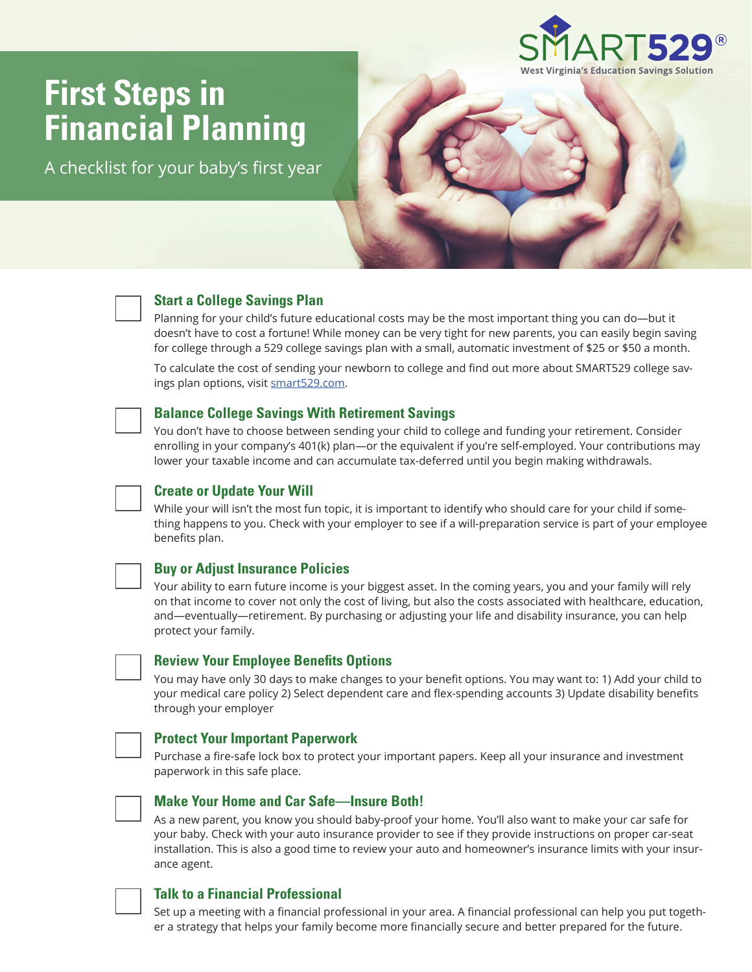

# **First Steps in Financial Planning**

A checklist for your baby's first year



## **Start a College Savings Plan**

Planning for your child's future educational costs may be the most important thing you can do—but it doesn't have to cost a fortune! While money can be very tight for new parents, you can easily begin saving for college through a 529 college savings plan with a small, automatic investment of \$25 or \$50 a month.

To calculate the cost of sending your newborn to college and find out more about SMART529 college savings plan options, visit smart529.com.



## **Balance College Savings With Retirement Savings**

You don't have to choose between sending your child to college and funding your retirement. Consider enrolling in your company's 401(k) plan—or the equivalent if you're self-employed. Your contributions may lower your taxable income and can accumulate tax-deferred until you begin making withdrawals.



#### **Create or Update Your Will**

While your will isn't the most fun topic, it is important to identify who should care for your child if something happens to you. Check with your employer to see if a will-preparation service is part of your employee benefits plan.

### **Buy or Adjust Insurance Policies**

Your ability to earn future income is your biggest asset. In the coming years, you and your family will rely on that income to cover not only the cost of living, but also the costs associated with healthcare, education, and—eventually—retirement. By purchasing or adjusting your life and disability insurance, you can help protect your family.



#### **Review Your Employee Benefits Options**

You may have only 30 days to make changes to your benefit options. You may want to: 1) Add your child to your medical care policy 2) Select dependent care and flex-spending accounts 3) Update disability benefits through your employer



### **Protect Your Important Paperwork**

Purchase a fire-safe lock box to protect your important papers. Keep all your insurance and investment paperwork in this safe place.



#### **Make Your Home and Car Safe—Insure Both!**

As a new parent, you know you should baby-proof your home. You'll also want to make your car safe for your baby. Check with your auto insurance provider to see if they provide instructions on proper car-seat installation. This is also a good time to review your auto and homeowner's insurance limits with your insurance agent.

## **Talk to a Financial Professional**

Set up a meeting with a financial professional in your area. A financial professional can help you put together a strategy that helps your family become more financially secure and better prepared for the future.